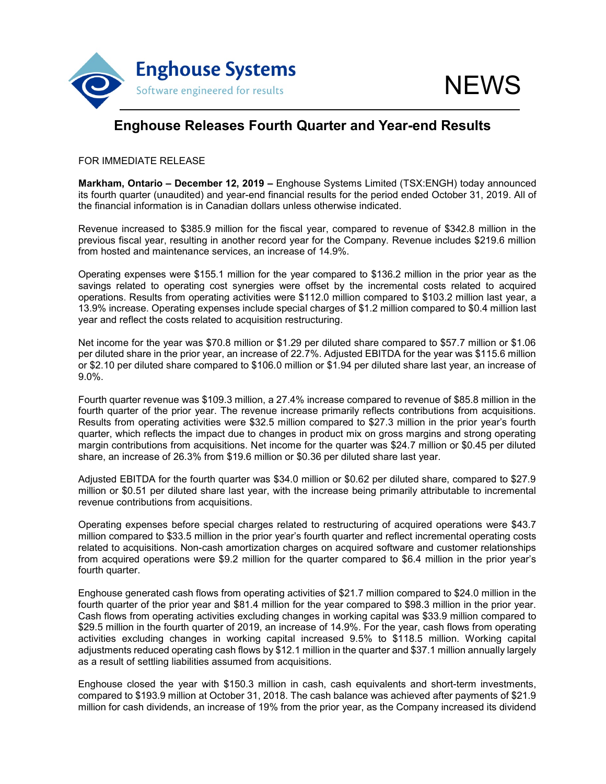

## **Enghouse Releases Fourth Quarter and Year-end Results**

FOR IMMEDIATE RELEASE

**Markham, Ontario – December 12, 2019 –** Enghouse Systems Limited (TSX:ENGH) today announced its fourth quarter (unaudited) and year-end financial results for the period ended October 31, 2019. All of the financial information is in Canadian dollars unless otherwise indicated.

Revenue increased to \$385.9 million for the fiscal year, compared to revenue of \$342.8 million in the previous fiscal year, resulting in another record year for the Company. Revenue includes \$219.6 million from hosted and maintenance services, an increase of 14.9%.

Operating expenses were \$155.1 million for the year compared to \$136.2 million in the prior year as the savings related to operating cost synergies were offset by the incremental costs related to acquired operations. Results from operating activities were \$112.0 million compared to \$103.2 million last year, a 13.9% increase. Operating expenses include special charges of \$1.2 million compared to \$0.4 million last year and reflect the costs related to acquisition restructuring.

Net income for the year was \$70.8 million or \$1.29 per diluted share compared to \$57.7 million or \$1.06 per diluted share in the prior year, an increase of 22.7%. Adjusted EBITDA for the year was \$115.6 million or \$2.10 per diluted share compared to \$106.0 million or \$1.94 per diluted share last year, an increase of 9.0%.

Fourth quarter revenue was \$109.3 million, a 27.4% increase compared to revenue of \$85.8 million in the fourth quarter of the prior year. The revenue increase primarily reflects contributions from acquisitions. Results from operating activities were \$32.5 million compared to \$27.3 million in the prior year's fourth quarter, which reflects the impact due to changes in product mix on gross margins and strong operating margin contributions from acquisitions. Net income for the quarter was \$24.7 million or \$0.45 per diluted share, an increase of 26.3% from \$19.6 million or \$0.36 per diluted share last year.

Adjusted EBITDA for the fourth quarter was \$34.0 million or \$0.62 per diluted share, compared to \$27.9 million or \$0.51 per diluted share last year, with the increase being primarily attributable to incremental revenue contributions from acquisitions.

Operating expenses before special charges related to restructuring of acquired operations were \$43.7 million compared to \$33.5 million in the prior year's fourth quarter and reflect incremental operating costs related to acquisitions. Non-cash amortization charges on acquired software and customer relationships from acquired operations were \$9.2 million for the quarter compared to \$6.4 million in the prior year's fourth quarter.

Enghouse generated cash flows from operating activities of \$21.7 million compared to \$24.0 million in the fourth quarter of the prior year and \$81.4 million for the year compared to \$98.3 million in the prior year. Cash flows from operating activities excluding changes in working capital was \$33.9 million compared to \$29.5 million in the fourth quarter of 2019, an increase of 14.9%. For the year, cash flows from operating activities excluding changes in working capital increased 9.5% to \$118.5 million. Working capital adjustments reduced operating cash flows by \$12.1 million in the quarter and \$37.1 million annually largely as a result of settling liabilities assumed from acquisitions.

Enghouse closed the year with \$150.3 million in cash, cash equivalents and short-term investments, compared to \$193.9 million at October 31, 2018. The cash balance was achieved after payments of \$21.9 million for cash dividends, an increase of 19% from the prior year, as the Company increased its dividend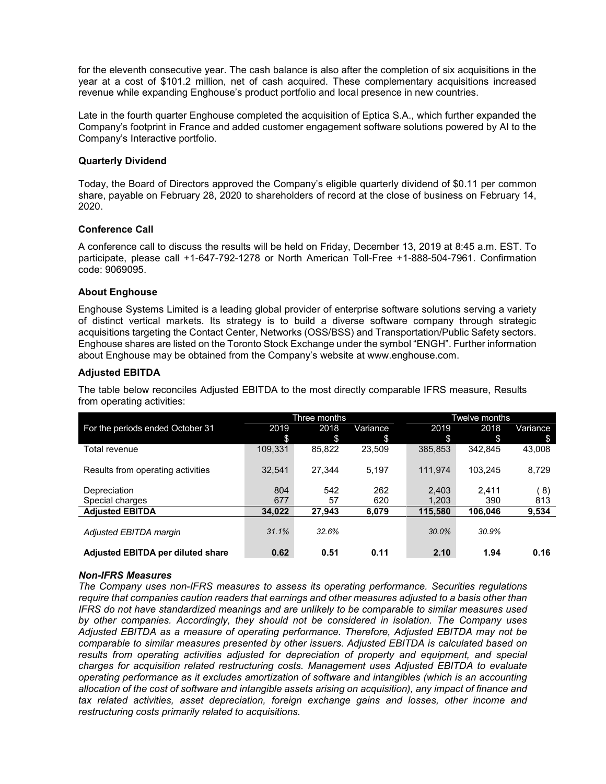for the eleventh consecutive year. The cash balance is also after the completion of six acquisitions in the year at a cost of \$101.2 million, net of cash acquired. These complementary acquisitions increased revenue while expanding Enghouse's product portfolio and local presence in new countries.

Late in the fourth quarter Enghouse completed the acquisition of Eptica S.A., which further expanded the Company's footprint in France and added customer engagement software solutions powered by AI to the Company's Interactive portfolio.

#### **Quarterly Dividend**

Today, the Board of Directors approved the Company's eligible quarterly dividend of \$0.11 per common share, payable on February 28, 2020 to shareholders of record at the close of business on February 14, 2020.

### **Conference Call**

A conference call to discuss the results will be held on Friday, December 13, 2019 at 8:45 a.m. EST. To participate, please call +1-647-792-1278 or North American Toll-Free +1-888-504-7961. Confirmation code: 9069095.

### **About Enghouse**

Enghouse Systems Limited is a leading global provider of enterprise software solutions serving a variety of distinct vertical markets. Its strategy is to build a diverse software company through strategic acquisitions targeting the Contact Center, Networks (OSS/BSS) and Transportation/Public Safety sectors. Enghouse shares are listed on the Toronto Stock Exchange under the symbol "ENGH". Further information about Enghouse may be obtained from the Company's website at www.enghouse.com.

### **Adjusted EBITDA**

The table below reconciles Adjusted EBITDA to the most directly comparable IFRS measure, Results from operating activities:

| Three months |        |          | Twelve months |         |          |  |
|--------------|--------|----------|---------------|---------|----------|--|
| 2019         | 2018   | Variance | 2019          | 2018    | Variance |  |
| \$           | \$     | \$       | \$            | \$      | \$       |  |
| 109,331      | 85,822 | 23.509   | 385.853       | 342.845 | 43,008   |  |
|              |        |          |               |         |          |  |
| 32.541       | 27.344 | 5.197    | 111.974       | 103.245 | 8,729    |  |
|              |        |          |               |         |          |  |
| 804          | 542    | 262      | 2,403         | 2.411   | (8)      |  |
| 677          | 57     | 620      | 1.203         | 390     | 813      |  |
| 34,022       | 27,943 | 6,079    | 115.580       | 106.046 | 9,534    |  |
|              |        |          |               |         |          |  |
| 31.1%        | 32.6%  |          | 30.0%         | 30.9%   |          |  |
|              |        |          |               |         |          |  |
| 0.62         | 0.51   | 0.11     | 2.10          | 1.94    | 0.16     |  |
|              |        |          |               |         |          |  |

#### *Non-IFRS Measures*

*The Company uses non-IFRS measures to assess its operating performance. Securities regulations require that companies caution readers that earnings and other measures adjusted to a basis other than IFRS do not have standardized meanings and are unlikely to be comparable to similar measures used by other companies. Accordingly, they should not be considered in isolation. The Company uses Adjusted EBITDA as a measure of operating performance. Therefore, Adjusted EBITDA may not be comparable to similar measures presented by other issuers. Adjusted EBITDA is calculated based on*  results from operating activities adjusted for depreciation of property and equipment, and special *charges for acquisition related restructuring costs. Management uses Adjusted EBITDA to evaluate operating performance as it excludes amortization of software and intangibles (which is an accounting allocation of the cost of software and intangible assets arising on acquisition), any impact of finance and tax related activities, asset depreciation, foreign exchange gains and losses, other income and restructuring costs primarily related to acquisitions.*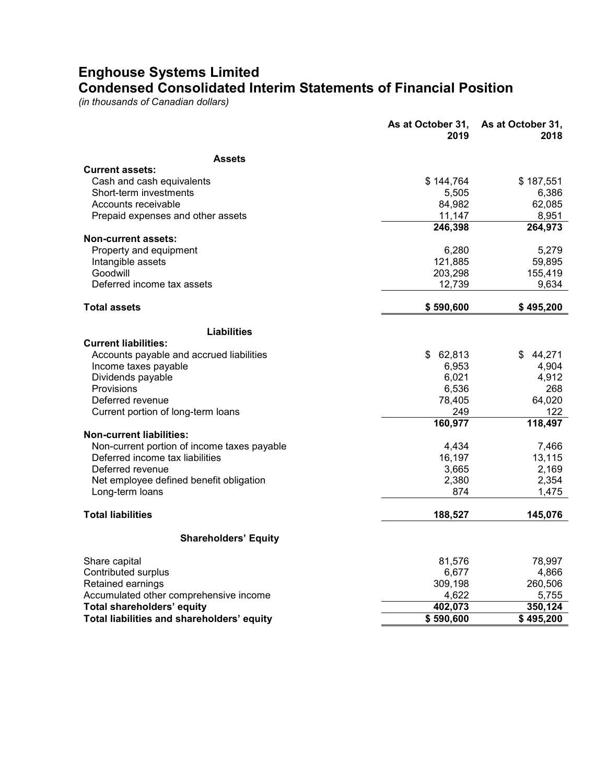## **Enghouse Systems Limited Condensed Consolidated Interim Statements of Financial Position**

*(in thousands of Canadian dollars)*

|                                             | As at October 31,<br>2019 | As at October 31,<br>2018 |
|---------------------------------------------|---------------------------|---------------------------|
| <b>Assets</b>                               |                           |                           |
| <b>Current assets:</b>                      |                           |                           |
| Cash and cash equivalents                   | \$144,764                 | \$187,551                 |
| Short-term investments                      | 5,505                     | 6,386                     |
| Accounts receivable                         | 84,982                    | 62,085                    |
| Prepaid expenses and other assets           | 11,147                    | 8,951                     |
|                                             | 246,398                   | 264,973                   |
| <b>Non-current assets:</b>                  |                           |                           |
| Property and equipment                      | 6,280                     | 5,279                     |
| Intangible assets                           | 121,885                   | 59,895                    |
| Goodwill                                    | 203,298                   | 155,419                   |
| Deferred income tax assets                  | 12,739                    | 9,634                     |
| <b>Total assets</b>                         | \$590,600                 | \$495,200                 |
| Liabilities                                 |                           |                           |
| <b>Current liabilities:</b>                 |                           |                           |
| Accounts payable and accrued liabilities    | \$62,813                  | 44,271<br>\$.             |
| Income taxes payable                        | 6,953                     | 4,904                     |
| Dividends payable                           | 6,021                     | 4,912                     |
| Provisions                                  | 6,536                     | 268                       |
| Deferred revenue                            | 78,405                    | 64,020                    |
| Current portion of long-term loans          | 249                       | 122                       |
|                                             | 160,977                   | 118,497                   |
| <b>Non-current liabilities:</b>             |                           |                           |
| Non-current portion of income taxes payable | 4,434                     | 7,466                     |
| Deferred income tax liabilities             | 16,197                    | 13,115                    |
| Deferred revenue                            | 3,665                     | 2,169                     |
| Net employee defined benefit obligation     | 2,380                     | 2,354                     |
| Long-term loans                             | 874                       | 1,475                     |
| <b>Total liabilities</b>                    | 188,527                   | 145,076                   |
| <b>Shareholders' Equity</b>                 |                           |                           |
| Share capital                               | 81,576                    | 78,997                    |
| Contributed surplus                         | 6,677                     | 4,866                     |
| Retained earnings                           | 309,198                   | 260,506                   |
| Accumulated other comprehensive income      | 4,622                     | 5,755                     |
| <b>Total shareholders' equity</b>           | 402,073                   | 350,124                   |
| Total liabilities and shareholders' equity  | \$590,600                 | \$495,200                 |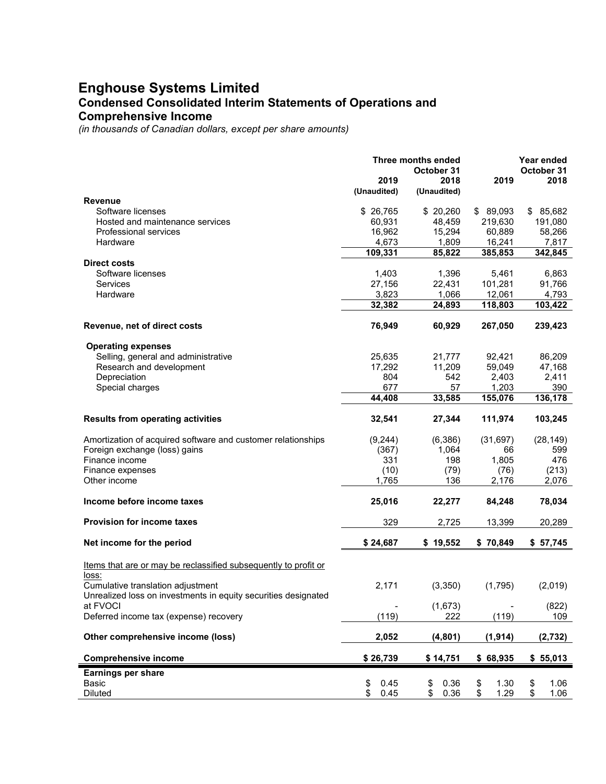# **Enghouse Systems Limited Condensed Consolidated Interim Statements of Operations and**

### **Comprehensive Income**

*(in thousands of Canadian dollars, except per share amounts)*

|                                                                                                              | <b>Three months ended</b> | Year ended  |            |            |
|--------------------------------------------------------------------------------------------------------------|---------------------------|-------------|------------|------------|
|                                                                                                              |                           | October 31  |            | October 31 |
|                                                                                                              | 2019                      | 2018        | 2019       | 2018       |
|                                                                                                              | (Unaudited)               | (Unaudited) |            |            |
| <b>Revenue</b>                                                                                               |                           |             |            |            |
| Software licenses                                                                                            | \$ 26,765                 | \$20,260    | \$89,093   | \$85,682   |
| Hosted and maintenance services                                                                              | 60,931                    | 48,459      | 219,630    | 191,080    |
| Professional services                                                                                        | 16,962                    | 15,294      | 60,889     | 58,266     |
| Hardware                                                                                                     | 4,673                     | 1,809       | 16,241     | 7,817      |
|                                                                                                              | 109,331                   | 85,822      | 385,853    | 342,845    |
| <b>Direct costs</b>                                                                                          |                           |             |            |            |
| Software licenses                                                                                            | 1,403                     | 1,396       | 5,461      | 6,863      |
| <b>Services</b>                                                                                              | 27,156                    | 22,431      | 101,281    | 91,766     |
| Hardware                                                                                                     | 3,823                     | 1,066       | 12,061     | 4,793      |
|                                                                                                              | 32,382                    | 24,893      | 118,803    | 103,422    |
| Revenue, net of direct costs                                                                                 | 76,949                    | 60,929      | 267,050    | 239,423    |
|                                                                                                              |                           |             |            |            |
| <b>Operating expenses</b>                                                                                    |                           |             |            |            |
| Selling, general and administrative                                                                          | 25,635                    | 21,777      | 92,421     | 86,209     |
| Research and development                                                                                     | 17,292                    | 11,209      | 59,049     | 47,168     |
| Depreciation                                                                                                 | 804                       | 542         | 2,403      | 2,411      |
| Special charges                                                                                              | 677                       | 57          | 1,203      | 390        |
|                                                                                                              | 44,408                    | 33,585      | 155,076    | 136,178    |
| <b>Results from operating activities</b>                                                                     | 32,541                    | 27,344      | 111,974    | 103,245    |
|                                                                                                              |                           |             |            |            |
| Amortization of acquired software and customer relationships                                                 | (9, 244)                  | (6,386)     | (31, 697)  | (28, 149)  |
| Foreign exchange (loss) gains                                                                                | (367)                     | 1,064       | 66         | 599        |
| Finance income                                                                                               | 331                       | 198         | 1,805      | 476        |
| Finance expenses                                                                                             | (10)                      | (79)        | (76)       | (213)      |
| Other income                                                                                                 | 1,765                     | 136         | 2,176      | 2,076      |
| Income before income taxes                                                                                   | 25,016                    | 22,277      | 84,248     | 78,034     |
| Provision for income taxes                                                                                   | 329                       | 2,725       | 13,399     | 20,289     |
|                                                                                                              |                           |             |            |            |
| Net income for the period                                                                                    | \$24,687                  | \$19,552    | \$70,849   | \$57,745   |
| Items that are or may be reclassified subsequently to profit or                                              |                           |             |            |            |
| loss:<br>Cumulative translation adjustment<br>Unrealized loss on investments in equity securities designated | 2,171                     | (3,350)     | (1,795)    | (2,019)    |
| at FVOCI                                                                                                     |                           | (1,673)     |            | (822)      |
| Deferred income tax (expense) recovery                                                                       | (119)                     | 222         | (119)      | 109        |
|                                                                                                              |                           |             |            |            |
| Other comprehensive income (loss)                                                                            | 2,052                     | (4, 801)    | (1, 914)   | (2,732)    |
| <b>Comprehensive income</b>                                                                                  | \$26,739                  | \$14,751    | \$68,935   | \$55,013   |
| <b>Earnings per share</b>                                                                                    |                           |             |            |            |
| Basic                                                                                                        | \$<br>0.45                | \$<br>0.36  | \$<br>1.30 | \$<br>1.06 |
| Diluted                                                                                                      | \$<br>0.45                | \$<br>0.36  | \$<br>1.29 | \$<br>1.06 |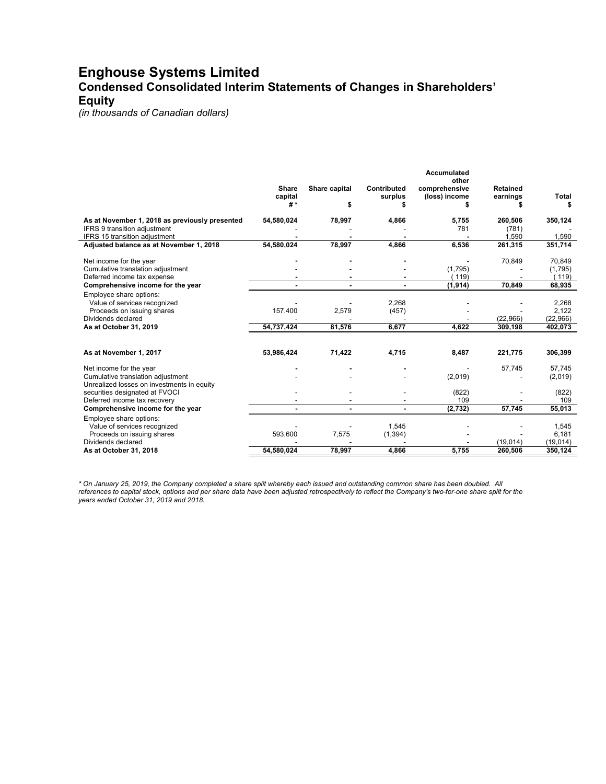## **Enghouse Systems Limited Condensed Consolidated Interim Statements of Changes in Shareholders' Equity**

*(in thousands of Canadian dollars)*

|                                                |              |               |                    | Accumulated<br>other |                 |          |
|------------------------------------------------|--------------|---------------|--------------------|----------------------|-----------------|----------|
|                                                | <b>Share</b> | Share capital | <b>Contributed</b> | comprehensive        | <b>Retained</b> |          |
|                                                | capital      |               | surplus            | (loss) income        | earnings        | Total    |
|                                                | #*           | \$            |                    |                      |                 |          |
| As at November 1, 2018 as previously presented | 54,580,024   | 78,997        | 4,866              | 5,755                | 260,506         | 350,124  |
| IFRS 9 transition adjustment                   |              |               |                    | 781                  | (781)           |          |
| IFRS 15 transition adjustment                  |              |               |                    |                      | 1.590           | 1,590    |
| Adjusted balance as at November 1, 2018        | 54,580,024   | 78,997        | 4,866              | 6,536                | 261,315         | 351,714  |
| Net income for the year                        |              |               |                    |                      | 70,849          | 70,849   |
| Cumulative translation adjustment              |              |               |                    | (1,795)              |                 | (1,795)  |
| Deferred income tax expense                    |              |               |                    | (119)                |                 | 119)     |
| Comprehensive income for the year              |              |               |                    | (1, 914)             | 70,849          | 68,935   |
| Employee share options:                        |              |               |                    |                      |                 |          |
| Value of services recognized                   |              |               | 2,268              |                      |                 | 2,268    |
| Proceeds on issuing shares                     | 157,400      | 2,579         | (457)              |                      |                 | 2,122    |
| Dividends declared                             |              |               |                    |                      | (22,966)        | (22,966) |
| As at October 31, 2019                         | 54,737,424   | 81.576        | 6.677              | 4,622                | 309,198         | 402,073  |
|                                                |              |               |                    |                      |                 |          |
| As at November 1, 2017                         | 53,986,424   | 71,422        | 4,715              | 8,487                | 221,775         | 306,399  |
| Net income for the year                        |              |               |                    |                      | 57,745          | 57,745   |
| Cumulative translation adjustment              |              |               |                    | (2,019)              |                 | (2,019)  |
| Unrealized losses on investments in equity     |              |               |                    |                      |                 |          |
| securities designated at FVOCI                 |              |               |                    | (822)                |                 | (822)    |
| Deferred income tax recovery                   |              |               |                    | 109                  |                 | 109      |
| Comprehensive income for the year              |              |               |                    | (2,732)              | 57,745          | 55,013   |
| Employee share options:                        |              |               |                    |                      |                 |          |
| Value of services recognized                   |              |               | 1,545              |                      |                 | 1,545    |
| Proceeds on issuing shares                     | 593,600      | 7,575         | (1, 394)           |                      |                 | 6,181    |
| Dividends declared                             |              |               |                    |                      | (19,014)        | (19,014) |
| As at October 31, 2018                         | 54,580,024   | 78,997        | 4,866              | 5,755                | 260,506         | 350,124  |

*\* On January 25, 2019, the Company completed a share split whereby each issued and outstanding common share has been doubled. All references to capital stock, options and per share data have been adjusted retrospectively to reflect the Company's two-for-one share split for the years ended October 31, 2019 and 2018.*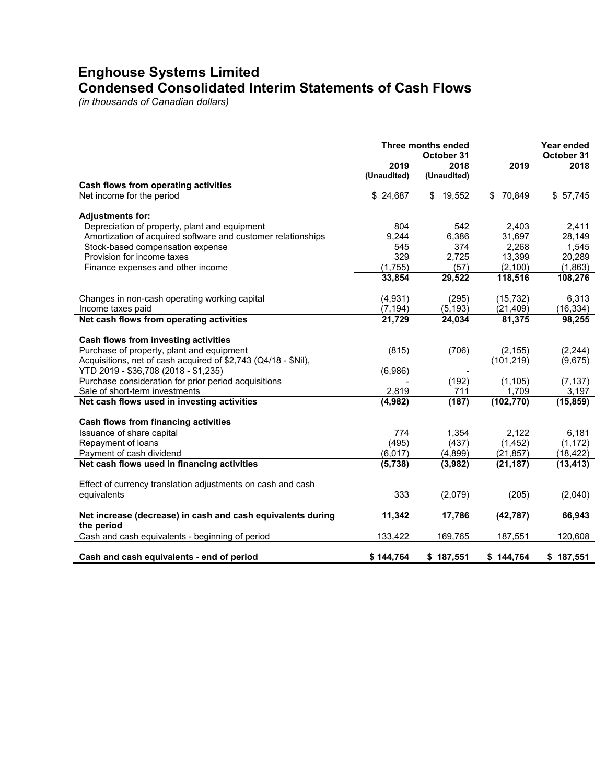## **Enghouse Systems Limited Condensed Consolidated Interim Statements of Cash Flows**

*(in thousands of Canadian dollars)*

|                                                                | 2019<br>(Unaudited) | Three months ended<br>October 31<br>2018<br>(Unaudited) | 2019         | Year ended<br>October 31<br>2018 |
|----------------------------------------------------------------|---------------------|---------------------------------------------------------|--------------|----------------------------------|
| Cash flows from operating activities                           |                     |                                                         |              |                                  |
| Net income for the period                                      | \$24,687            | \$<br>19,552                                            | 70.849<br>\$ | \$57,745                         |
| <b>Adjustments for:</b>                                        |                     |                                                         |              |                                  |
| Depreciation of property, plant and equipment                  | 804                 | 542                                                     | 2,403        | 2,411                            |
| Amortization of acquired software and customer relationships   | 9,244               | 6,386                                                   | 31,697       | 28,149                           |
|                                                                |                     |                                                         |              |                                  |
| Stock-based compensation expense                               | 545                 | 374                                                     | 2,268        | 1,545                            |
| Provision for income taxes                                     | 329                 | 2,725                                                   | 13,399       | 20,289                           |
| Finance expenses and other income                              | (1,755)             | (57)                                                    | (2,100)      | (1,863)                          |
|                                                                | 33,854              | 29,522                                                  | 118,516      | 108,276                          |
| Changes in non-cash operating working capital                  | (4, 931)            | (295)                                                   | (15, 732)    | 6,313                            |
| Income taxes paid                                              | (7, 194)            | (5, 193)                                                | (21, 409)    | (16, 334)                        |
| Net cash flows from operating activities                       | 21,729              | 24,034                                                  | 81,375       | 98,255                           |
|                                                                |                     |                                                         |              |                                  |
| Cash flows from investing activities                           |                     |                                                         |              |                                  |
| Purchase of property, plant and equipment                      | (815)               | (706)                                                   | (2, 155)     | (2, 244)                         |
| Acquisitions, net of cash acquired of \$2,743 (Q4/18 - \$Nil), |                     |                                                         | (101, 219)   | (9,675)                          |
| YTD 2019 - \$36,708 (2018 - \$1,235)                           | (6,986)             |                                                         |              |                                  |
| Purchase consideration for prior period acquisitions           |                     | (192)                                                   | (1, 105)     | (7, 137)                         |
| Sale of short-term investments                                 | 2,819               | 711                                                     | 1,709        | 3,197                            |
| Net cash flows used in investing activities                    | (4,982)             | (187)                                                   | (102, 770)   | (15, 859)                        |
|                                                                |                     |                                                         |              |                                  |
| Cash flows from financing activities                           |                     |                                                         |              |                                  |
| Issuance of share capital                                      | 774                 | 1,354                                                   | 2,122        | 6,181                            |
| Repayment of loans                                             | (495)               | (437)                                                   | (1, 452)     | (1, 172)                         |
| Payment of cash dividend                                       | (6, 017)            | (4, 899)                                                | (21, 857)    | (18, 422)                        |
| Net cash flows used in financing activities                    | (5,738)             | (3,982)                                                 | (21, 187)    | (13, 413)                        |
|                                                                |                     |                                                         |              |                                  |
| Effect of currency translation adjustments on cash and cash    |                     |                                                         |              |                                  |
| equivalents                                                    | 333                 | (2,079)                                                 | (205)        | (2,040)                          |
|                                                                |                     |                                                         |              |                                  |
| Net increase (decrease) in cash and cash equivalents during    | 11,342              | 17,786                                                  | (42, 787)    | 66,943                           |
| the period                                                     |                     |                                                         |              |                                  |
| Cash and cash equivalents - beginning of period                | 133,422             | 169,765                                                 | 187,551      | 120,608                          |
| Cash and cash equivalents - end of period                      | \$144.764           | \$187,551                                               | \$144,764    | \$187,551                        |
|                                                                |                     |                                                         |              |                                  |